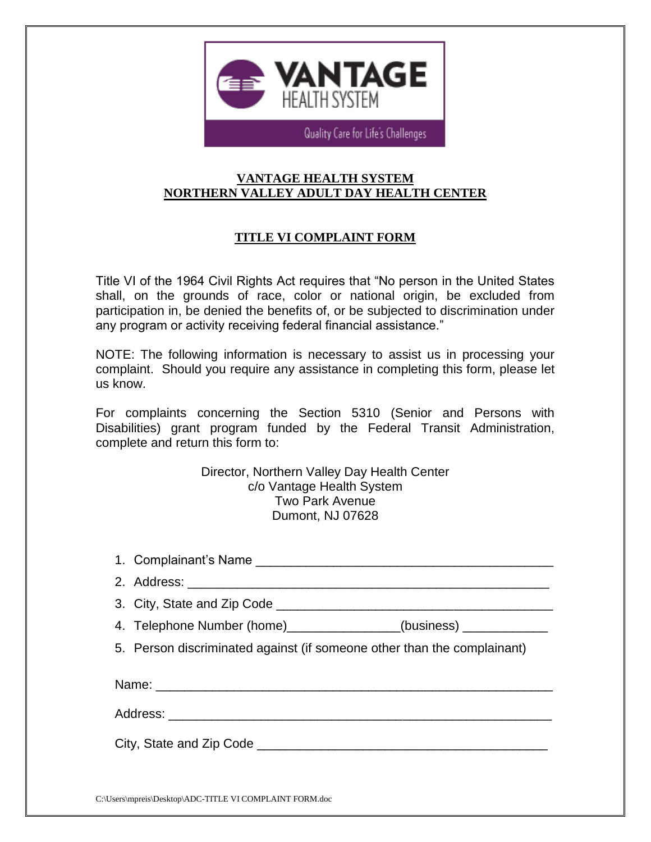

Quality Care for Life's Challenges

## **VANTAGE HEALTH SYSTEM NORTHERN VALLEY ADULT DAY HEALTH CENTER**

## **TITLE VI COMPLAINT FORM**

Title VI of the 1964 Civil Rights Act requires that "No person in the United States shall, on the grounds of race, color or national origin, be excluded from participation in, be denied the benefits of, or be subjected to discrimination under any program or activity receiving federal financial assistance."

NOTE: The following information is necessary to assist us in processing your complaint. Should you require any assistance in completing this form, please let us know.

For complaints concerning the Section 5310 (Senior and Persons with Disabilities) grant program funded by the Federal Transit Administration, complete and return this form to:

> Director, Northern Valley Day Health Center c/o Vantage Health System Two Park Avenue Dumont, NJ 07628

| 4. Telephone Number (home)_______________(business) _____________       |
|-------------------------------------------------------------------------|
| 5. Person discriminated against (if someone other than the complainant) |
|                                                                         |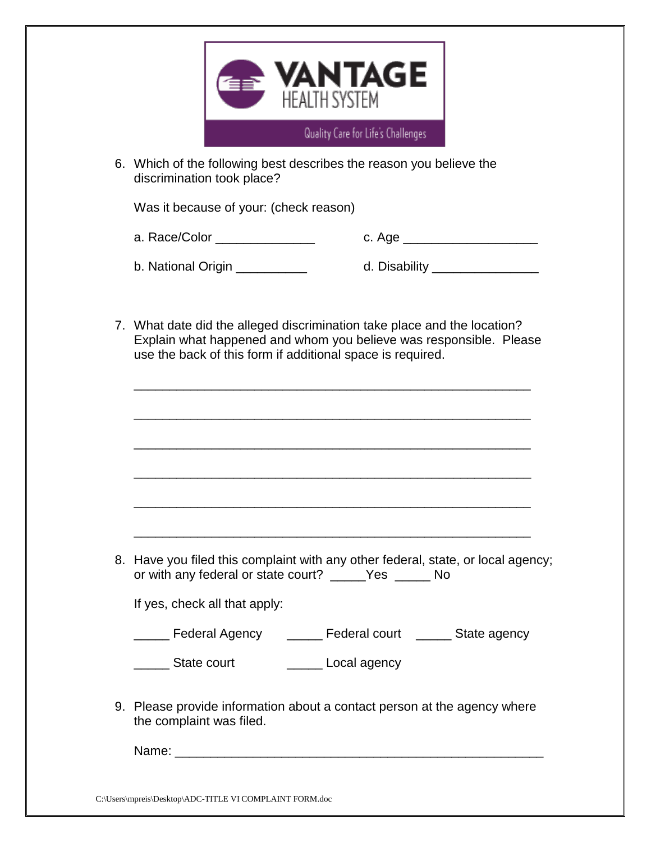

6. Which of the following best describes the reason you believe the discrimination took place?

Was it because of your: (check reason)

a. Race/Color \_\_\_\_\_\_\_\_\_\_\_\_\_\_ c. Age \_\_\_\_\_\_\_\_\_\_\_\_\_\_\_\_\_\_\_

b. National Origin \_\_\_\_\_\_\_\_\_\_\_\_ d. Disability \_\_\_\_\_\_\_\_\_\_\_\_\_\_\_

7. What date did the alleged discrimination take place and the location? Explain what happened and whom you believe was responsible. Please use the back of this form if additional space is required.

\_\_\_\_\_\_\_\_\_\_\_\_\_\_\_\_\_\_\_\_\_\_\_\_\_\_\_\_\_\_\_\_\_\_\_\_\_\_\_\_\_\_\_\_\_\_\_\_\_\_\_\_\_\_\_\_

| 8. Have you filed this complaint with any other federal, state, or local agency;<br>or with any federal or state court? ______Yes _______ No |
|----------------------------------------------------------------------------------------------------------------------------------------------|
| If yes, check all that apply:                                                                                                                |
| ____ Federal Agency ______ Federal court _____ State agency                                                                                  |
| Local agency<br>State court                                                                                                                  |
|                                                                                                                                              |

9. Please provide information about a contact person at the agency where the complaint was filed.

Name: \_\_\_\_\_\_\_\_\_\_\_\_\_\_\_\_\_\_\_\_\_\_\_\_\_\_\_\_\_\_\_\_\_\_\_\_\_\_\_\_\_\_\_\_\_\_\_\_\_\_\_\_